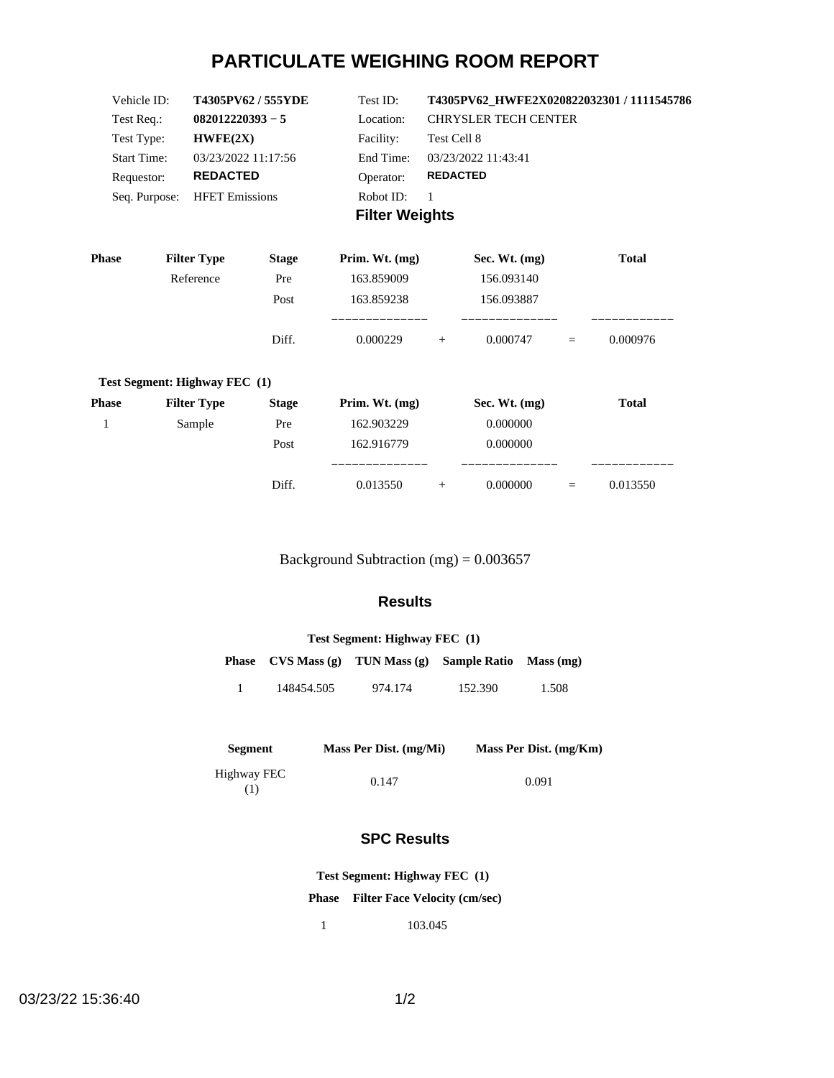# **PARTICULATE WEIGHING ROOM REPORT**

| Vehicle ID:        | T4305PV62/555YDE      | Test ID:              | T4305PV62 HWFE2X020822032301 / 1111545786 |
|--------------------|-----------------------|-----------------------|-------------------------------------------|
| Test Req.:         | $082012220393 - 5$    | Location:             | <b>CHRYSLER TECH CENTER</b>               |
| Test Type:         | HWFE(2X)              | Facility:             | Test Cell 8                               |
| <b>Start Time:</b> | 03/23/2022 11:17:56   | End Time:             | 03/23/2022 11:43:41                       |
| Requestor:         | <b>REDACTED</b>       | Operator:             | <b>REDACTED</b>                           |
| Seq. Purpose:      | <b>HFET Emissions</b> | Robot ID:             |                                           |
|                    |                       | <b>Filter Weights</b> |                                           |

| <b>Phase</b> | <b>Filter Type</b>            | <b>Stage</b> | Prim. Wt. $(mg)$ |     | Sec. Wt. $(mg)$ |          | <b>Total</b> |
|--------------|-------------------------------|--------------|------------------|-----|-----------------|----------|--------------|
|              | Reference                     | Pre          | 163.859009       |     | 156.093140      |          |              |
|              |                               | Post         | 163.859238       |     | 156.093887      |          |              |
|              |                               | Diff.        | 0.000229         | $+$ | 0.000747        | $\equiv$ | 0.000976     |
|              | Test Segment: Highway FEC (1) |              |                  |     |                 |          |              |
| <b>Phase</b> | <b>Filter Type</b>            | <b>Stage</b> | Prim. Wt. $(mg)$ |     | Sec. Wt. $(mg)$ |          | <b>Total</b> |
|              | Sample                        | Pre          | 162.903229       |     | 0.000000        |          |              |
|              |                               | Post         | 162.916779       |     | 0.000000        |          |              |
|              |                               |              |                  |     |                 |          |              |

Background Subtraction (mg) = 0.003657

Diff. 0.013550 + 0.000000 = 0.013550

### **Results**

| Test Segment: Highway FEC (1) |            |                                  |                        |       |  |  |
|-------------------------------|------------|----------------------------------|------------------------|-------|--|--|
|                               |            | Phase $CVS Mass(g)$ TUN Mass (g) | Sample Ratio Mass (mg) |       |  |  |
|                               | 148454.505 | 974.174                          | 152.390                | 1.508 |  |  |

| <b>Segment</b>     | Mass Per Dist. (mg/Mi) | Mass Per Dist. (mg/Km) |
|--------------------|------------------------|------------------------|
| Highway FEC<br>(1) | 0.147                  | 0.091                  |

## **SPC Results**

**Test Segment: Highway FEC (1)**

**Phase Filter Face Velocity (cm/sec)**

1 103.045